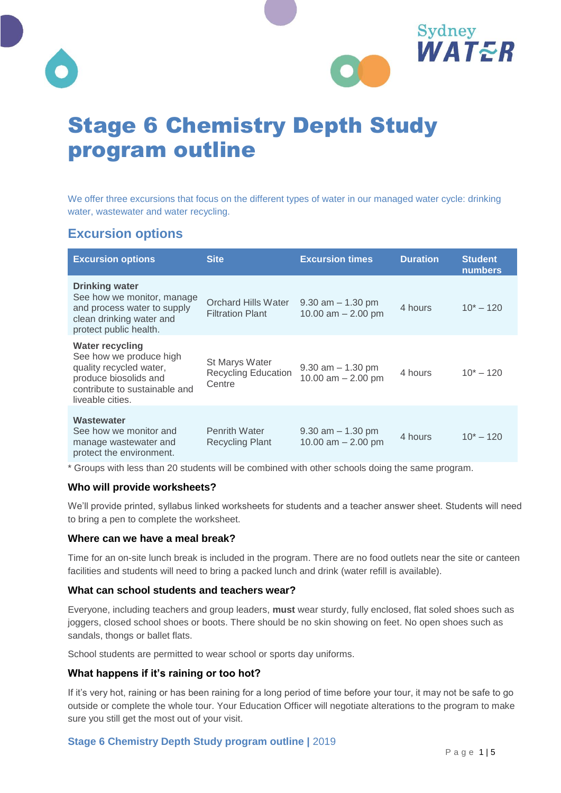



# Stage 6 Chemistry Depth Study program outline

We offer three excursions that focus on the different types of water in our managed water cycle: drinking water, wastewater and water recycling.

# **Excursion options**

| <b>Excursion options</b>                                                                                                                                   | <b>Site</b>                                            | <b>Excursion times</b>                       | <b>Duration</b> | <b>Student</b><br><b>numbers</b> |
|------------------------------------------------------------------------------------------------------------------------------------------------------------|--------------------------------------------------------|----------------------------------------------|-----------------|----------------------------------|
| <b>Drinking water</b><br>See how we monitor, manage<br>and process water to supply<br>clean drinking water and<br>protect public health.                   | Orchard Hills Water<br><b>Filtration Plant</b>         | $9.30$ am $-1.30$ pm<br>10.00 $am - 2.00$ pm | 4 hours         | $10^* - 120$                     |
| <b>Water recycling</b><br>See how we produce high<br>quality recycled water,<br>produce biosolids and<br>contribute to sustainable and<br>liveable cities. | St Marys Water<br><b>Recycling Education</b><br>Centre | $9.30$ am $-1.30$ pm<br>10.00 am $- 2.00$ pm | 4 hours         | $10^* - 120$                     |
| Wastewater<br>See how we monitor and<br>manage wastewater and<br>protect the environment.                                                                  | <b>Penrith Water</b><br><b>Recycling Plant</b>         | $9.30$ am $-1.30$ pm<br>10.00 $am - 2.00$ pm | 4 hours         | $10^* - 120$                     |

\* Groups with less than 20 students will be combined with other schools doing the same program.

#### **Who will provide worksheets?**

We'll provide printed, syllabus linked worksheets for students and a teacher answer sheet. Students will need to bring a pen to complete the worksheet.

#### **Where can we have a meal break?**

Time for an on-site lunch break is included in the program. There are no food outlets near the site or canteen facilities and students will need to bring a packed lunch and drink (water refill is available).

#### **What can school students and teachers wear?**

Everyone, including teachers and group leaders, **must** wear sturdy, fully enclosed, flat soled shoes such as joggers, closed school shoes or boots. There should be no skin showing on feet. No open shoes such as sandals, thongs or ballet flats.

School students are permitted to wear school or sports day uniforms.

#### **What happens if it's raining or too hot?**

If it's very hot, raining or has been raining for a long period of time before your tour, it may not be safe to go outside or complete the whole tour. Your Education Officer will negotiate alterations to the program to make sure you still get the most out of your visit.

#### **Stage 6 Chemistry Depth Study program outline |** 2019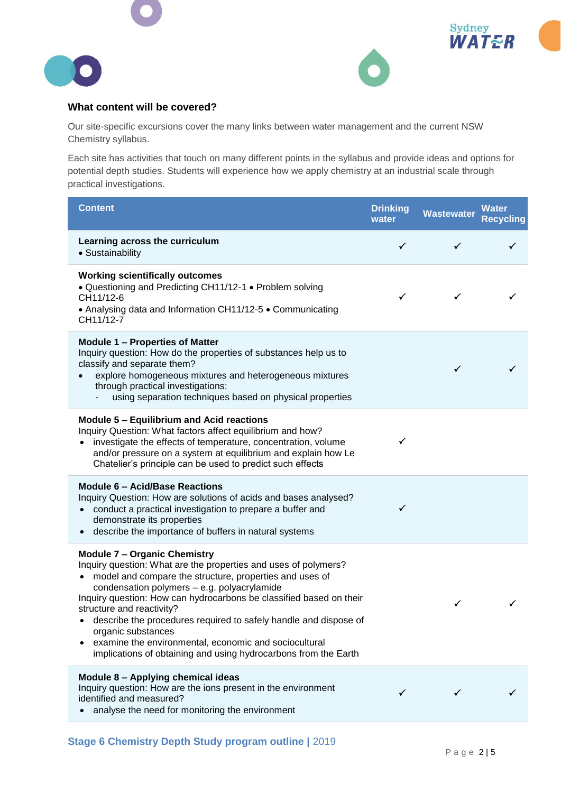





#### **What content will be covered?**

Our site-specific excursions cover the many links between water management and the current NSW Chemistry syllabus.

Each site has activities that touch on many different points in the syllabus and provide ideas and options for potential depth studies. Students will experience how we apply chemistry at an industrial scale through practical investigations.

| <b>Content</b>                                                                                                                                                                                                                                                                                                                                                                                                                                                                                                                               | <b>Drinking</b><br>water | <b>Wastewater</b> | <b>Water</b><br><b>Recycling</b> |
|----------------------------------------------------------------------------------------------------------------------------------------------------------------------------------------------------------------------------------------------------------------------------------------------------------------------------------------------------------------------------------------------------------------------------------------------------------------------------------------------------------------------------------------------|--------------------------|-------------------|----------------------------------|
| Learning across the curriculum<br>• Sustainability                                                                                                                                                                                                                                                                                                                                                                                                                                                                                           | ✓                        | $\checkmark$      |                                  |
| <b>Working scientifically outcomes</b><br>· Questioning and Predicting CH11/12-1 • Problem solving<br>CH11/12-6<br>• Analysing data and Information CH11/12-5 • Communicating<br>CH11/12-7                                                                                                                                                                                                                                                                                                                                                   | ✓                        | ✓                 |                                  |
| <b>Module 1 - Properties of Matter</b><br>Inquiry question: How do the properties of substances help us to<br>classify and separate them?<br>explore homogeneous mixtures and heterogeneous mixtures<br>through practical investigations:<br>using separation techniques based on physical properties                                                                                                                                                                                                                                        |                          | ✓                 |                                  |
| Module 5 - Equilibrium and Acid reactions<br>Inquiry Question: What factors affect equilibrium and how?<br>• investigate the effects of temperature, concentration, volume<br>and/or pressure on a system at equilibrium and explain how Le<br>Chatelier's principle can be used to predict such effects                                                                                                                                                                                                                                     | $\checkmark$             |                   |                                  |
| Module 6 - Acid/Base Reactions<br>Inquiry Question: How are solutions of acids and bases analysed?<br>• conduct a practical investigation to prepare a buffer and<br>demonstrate its properties<br>describe the importance of buffers in natural systems                                                                                                                                                                                                                                                                                     | $\checkmark$             |                   |                                  |
| <b>Module 7 - Organic Chemistry</b><br>Inquiry question: What are the properties and uses of polymers?<br>• model and compare the structure, properties and uses of<br>condensation polymers - e.g. polyacrylamide<br>Inquiry question: How can hydrocarbons be classified based on their<br>structure and reactivity?<br>describe the procedures required to safely handle and dispose of<br>organic substances<br>examine the environmental, economic and sociocultural<br>implications of obtaining and using hydrocarbons from the Earth |                          | ✓                 |                                  |
| Module 8 - Applying chemical ideas<br>Inquiry question: How are the ions present in the environment<br>identified and measured?<br>analyse the need for monitoring the environment                                                                                                                                                                                                                                                                                                                                                           | ✓                        |                   |                                  |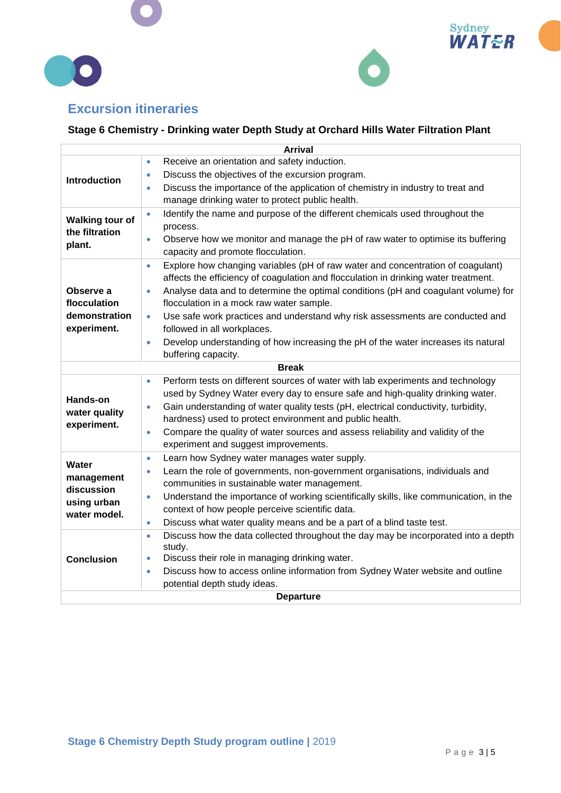





# **Excursion itineraries**

## **Stage 6 Chemistry - Drinking water Depth Study at Orchard Hills Water Filtration Plant**

| <b>Arrival</b>                                            |                                                                                                                                                                                                                                                                                   |  |
|-----------------------------------------------------------|-----------------------------------------------------------------------------------------------------------------------------------------------------------------------------------------------------------------------------------------------------------------------------------|--|
| <b>Introduction</b>                                       | Receive an orientation and safety induction.<br>$\bullet$                                                                                                                                                                                                                         |  |
|                                                           | Discuss the objectives of the excursion program.<br>$\bullet$                                                                                                                                                                                                                     |  |
|                                                           | Discuss the importance of the application of chemistry in industry to treat and<br>$\bullet$                                                                                                                                                                                      |  |
|                                                           | manage drinking water to protect public health.                                                                                                                                                                                                                                   |  |
| <b>Walking tour of</b><br>the filtration<br>plant.        | Identify the name and purpose of the different chemicals used throughout the<br>$\bullet$<br>process.                                                                                                                                                                             |  |
|                                                           | Observe how we monitor and manage the pH of raw water to optimise its buffering<br>$\bullet$<br>capacity and promote flocculation.                                                                                                                                                |  |
| Observe a<br>flocculation<br>demonstration<br>experiment. | Explore how changing variables (pH of raw water and concentration of coagulant)<br>$\bullet$<br>affects the efficiency of coagulation and flocculation in drinking water treatment.                                                                                               |  |
|                                                           | Analyse data and to determine the optimal conditions (pH and coagulant volume) for<br>$\bullet$<br>flocculation in a mock raw water sample.                                                                                                                                       |  |
|                                                           | Use safe work practices and understand why risk assessments are conducted and<br>$\bullet$<br>followed in all workplaces.                                                                                                                                                         |  |
|                                                           | Develop understanding of how increasing the pH of the water increases its natural<br>$\bullet$<br>buffering capacity.                                                                                                                                                             |  |
|                                                           | <b>Break</b>                                                                                                                                                                                                                                                                      |  |
| <b>Hands-on</b>                                           | Perform tests on different sources of water with lab experiments and technology<br>$\bullet$<br>used by Sydney Water every day to ensure safe and high-quality drinking water.<br>Gain understanding of water quality tests (pH, electrical conductivity, turbidity,<br>$\bullet$ |  |
| water quality                                             | hardness) used to protect environment and public health.                                                                                                                                                                                                                          |  |
| experiment.                                               | Compare the quality of water sources and assess reliability and validity of the<br>$\bullet$<br>experiment and suggest improvements.                                                                                                                                              |  |
| Water                                                     | Learn how Sydney water manages water supply.<br>$\bullet$                                                                                                                                                                                                                         |  |
| management<br>discussion<br>using urban<br>water model.   | Learn the role of governments, non-government organisations, individuals and<br>$\bullet$<br>communities in sustainable water management.                                                                                                                                         |  |
|                                                           | Understand the importance of working scientifically skills, like communication, in the<br>$\bullet$<br>context of how people perceive scientific data.                                                                                                                            |  |
|                                                           | Discuss what water quality means and be a part of a blind taste test.<br>$\bullet$                                                                                                                                                                                                |  |
| <b>Conclusion</b>                                         | Discuss how the data collected throughout the day may be incorporated into a depth<br>$\bullet$<br>study.                                                                                                                                                                         |  |
|                                                           | Discuss their role in managing drinking water.<br>$\bullet$                                                                                                                                                                                                                       |  |
|                                                           | Discuss how to access online information from Sydney Water website and outline<br>$\bullet$                                                                                                                                                                                       |  |
|                                                           | potential depth study ideas.                                                                                                                                                                                                                                                      |  |
| <b>Departure</b>                                          |                                                                                                                                                                                                                                                                                   |  |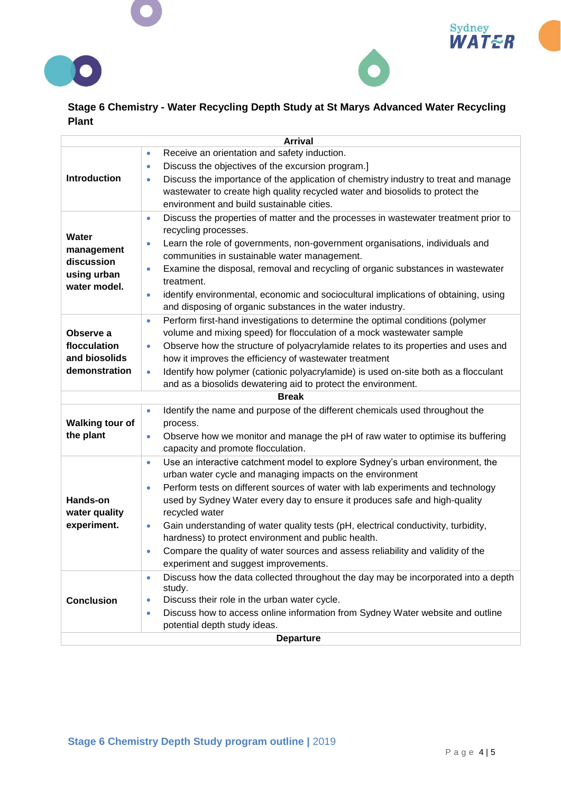





## **Stage 6 Chemistry - Water Recycling Depth Study at St Marys Advanced Water Recycling Plant**

|                                                                  | <b>Arrival</b>                                                                                                                                                                                                                                                                                                                                                                                                                                                                                                                                                                                                                                            |  |
|------------------------------------------------------------------|-----------------------------------------------------------------------------------------------------------------------------------------------------------------------------------------------------------------------------------------------------------------------------------------------------------------------------------------------------------------------------------------------------------------------------------------------------------------------------------------------------------------------------------------------------------------------------------------------------------------------------------------------------------|--|
| Introduction                                                     | Receive an orientation and safety induction.<br>$\bullet$<br>Discuss the objectives of the excursion program.]<br>$\bullet$<br>Discuss the importance of the application of chemistry industry to treat and manage<br>$\bullet$<br>wastewater to create high quality recycled water and biosolids to protect the<br>environment and build sustainable cities.                                                                                                                                                                                                                                                                                             |  |
| Water<br>management<br>discussion<br>using urban<br>water model. | Discuss the properties of matter and the processes in wastewater treatment prior to<br>$\bullet$<br>recycling processes.<br>Learn the role of governments, non-government organisations, individuals and<br>$\bullet$<br>communities in sustainable water management.<br>Examine the disposal, removal and recycling of organic substances in wastewater<br>$\bullet$<br>treatment.<br>identify environmental, economic and sociocultural implications of obtaining, using<br>$\bullet$<br>and disposing of organic substances in the water industry.                                                                                                     |  |
| Observe a<br>flocculation<br>and biosolids<br>demonstration      | Perform first-hand investigations to determine the optimal conditions (polymer<br>$\bullet$<br>volume and mixing speed) for flocculation of a mock wastewater sample<br>Observe how the structure of polyacrylamide relates to its properties and uses and<br>$\bullet$<br>how it improves the efficiency of wastewater treatment<br>Identify how polymer (cationic polyacrylamide) is used on-site both as a flocculant<br>$\bullet$<br>and as a biosolids dewatering aid to protect the environment.                                                                                                                                                    |  |
|                                                                  | <b>Break</b>                                                                                                                                                                                                                                                                                                                                                                                                                                                                                                                                                                                                                                              |  |
| <b>Walking tour of</b><br>the plant                              | Identify the name and purpose of the different chemicals used throughout the<br>$\bullet$<br>process.<br>Observe how we monitor and manage the pH of raw water to optimise its buffering<br>$\bullet$<br>capacity and promote flocculation.                                                                                                                                                                                                                                                                                                                                                                                                               |  |
| Hands-on<br>water quality<br>experiment.                         | Use an interactive catchment model to explore Sydney's urban environment, the<br>$\bullet$<br>urban water cycle and managing impacts on the environment<br>Perform tests on different sources of water with lab experiments and technology<br>$\bullet$<br>used by Sydney Water every day to ensure it produces safe and high-quality<br>recycled water<br>Gain understanding of water quality tests (pH, electrical conductivity, turbidity,<br>$\bullet$<br>hardness) to protect environment and public health.<br>Compare the quality of water sources and assess reliability and validity of the<br>$\bullet$<br>experiment and suggest improvements. |  |
| <b>Conclusion</b>                                                | Discuss how the data collected throughout the day may be incorporated into a depth<br>$\bullet$<br>study.<br>Discuss their role in the urban water cycle.<br>$\bullet$<br>Discuss how to access online information from Sydney Water website and outline<br>$\bullet$<br>potential depth study ideas.                                                                                                                                                                                                                                                                                                                                                     |  |
| <b>Departure</b>                                                 |                                                                                                                                                                                                                                                                                                                                                                                                                                                                                                                                                                                                                                                           |  |